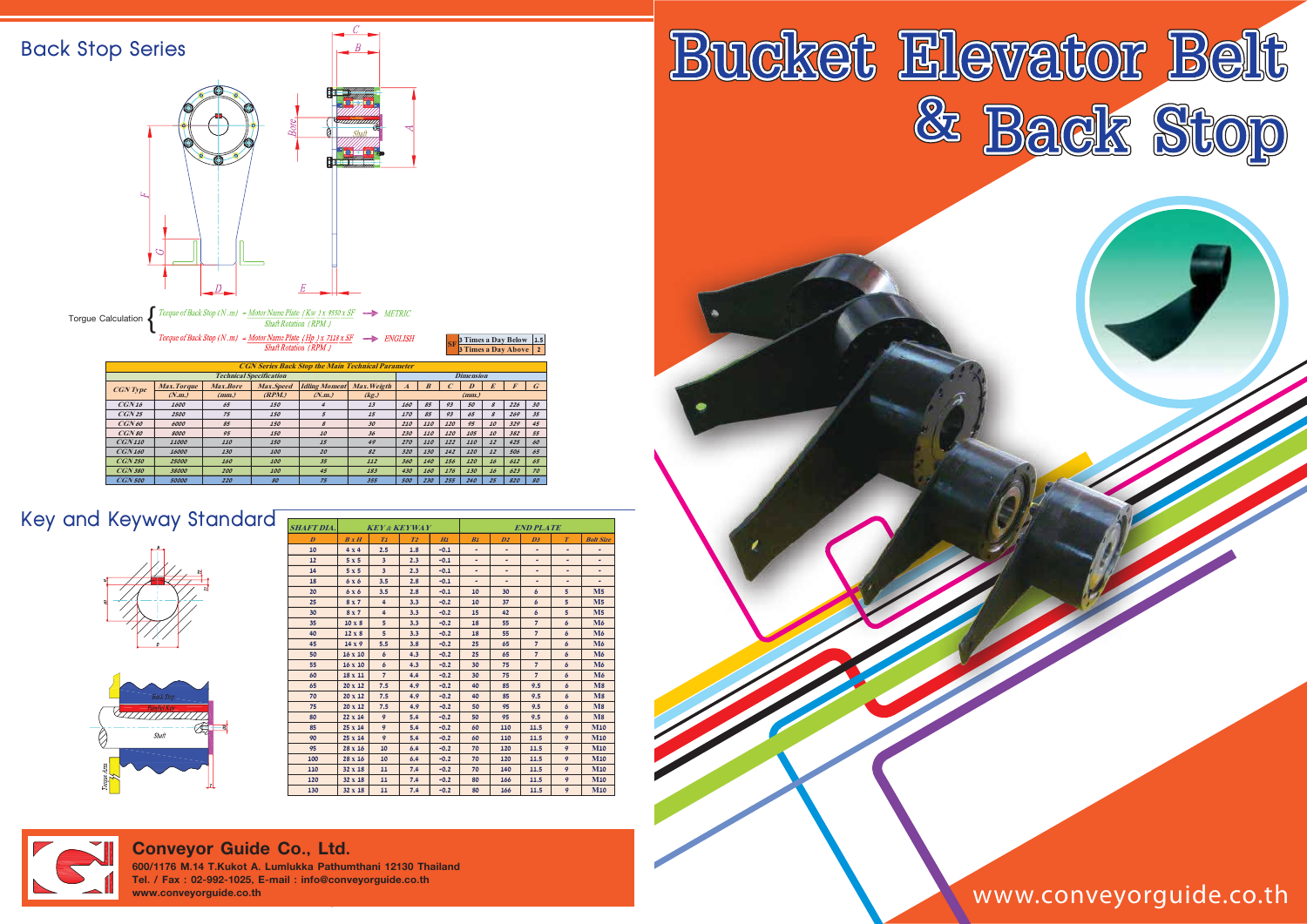| <b>Back Stop Series</b> |                                                                                            |                    |          |                                               |                                                                                                                                        | R                                             |                  |                  |                         |                  |                            |                                                       |                          |
|-------------------------|--------------------------------------------------------------------------------------------|--------------------|----------|-----------------------------------------------|----------------------------------------------------------------------------------------------------------------------------------------|-----------------------------------------------|------------------|------------------|-------------------------|------------------|----------------------------|-------------------------------------------------------|--------------------------|
|                         | Ŀ                                                                                          | Ð                  | 0        | <b>Bore</b>                                   |                                                                                                                                        | <i>.,,,,,,,,,,,,</i> ,<br>Shaft<br>ft 1.      |                  |                  |                         |                  |                            |                                                       |                          |
|                         | Torgue Calculation                                                                         |                    |          | Shaft Rotation (RPM)<br>Shaft Rotation (RPM.) | Torque of Back Stop (N.m) = <u>Motor Name Plate</u> (Kw) x 9550 x SF<br>Torque of Back Stop (N.m) = Motor Name Plate (Hp ) x 7118 x SF | $\rightarrow$ METRIC<br>$\Rightarrow$ ENGLISH |                  |                  |                         |                  |                            | 3 Times a Day Below 1.5<br><b>3 Times a Day Above</b> | $\overline{2}$           |
|                         |                                                                                            |                    |          |                                               |                                                                                                                                        |                                               |                  |                  |                         |                  |                            |                                                       |                          |
|                         | <b>CGN Series Back Stop the Main Technical Parameter</b><br><b>Technical Specification</b> |                    |          |                                               |                                                                                                                                        |                                               |                  |                  |                         | <b>Dimension</b> |                            |                                                       |                          |
|                         |                                                                                            | <b>Max. Torque</b> | Max.Bore | Max.Speed                                     | <b>Idling Moment</b>                                                                                                                   | Max. Weigth                                   | $\boldsymbol{A}$ | $\boldsymbol{B}$ | $\mathcal{C}_{0}^{(n)}$ | $\boldsymbol{D}$ | $\boldsymbol{E}$           | $\pmb{F}$                                             | $\boldsymbol{G}$         |
|                         | <b>CGN</b> Type                                                                            | (N.m.)             | (mm.)    | (RPM.)                                        | (N.m.)                                                                                                                                 | (kg.)                                         |                  |                  |                         | (mm.)            |                            |                                                       |                          |
|                         | CGN16                                                                                      | 1600               | 65       | 150                                           | $\boldsymbol{4}$                                                                                                                       | 13                                            | 160              | 85               | 93                      | 50               | $\boldsymbol{\mathcal{S}}$ | 226                                                   | 30                       |
|                         | CGN25                                                                                      | 2500               | $75\,$   | 150                                           | 5                                                                                                                                      | 15                                            | 170              | 85               | 93                      | 65               | $\boldsymbol{\mathcal{S}}$ | 269                                                   | $\mathcal{S}\mathcal{S}$ |
|                         | CGN60                                                                                      | 6000               | 85       | 150                                           | $\mathcal S$                                                                                                                           | 30                                            | 210              | 110              | 120                     | 95               | 10                         | 329                                                   | $\it 45$                 |
|                         | CGN80                                                                                      | 8000               | 95       | 150                                           | 10                                                                                                                                     | 36                                            | 230              | 110              | 120                     | 105              | 10                         | 382                                                   | 55                       |
|                         | CGN110                                                                                     | 11000              | 110      | 150                                           | $\it 15$                                                                                                                               | 49                                            | 270              | 110              | 122                     | 110              | 12                         | 425                                                   | 60                       |
|                         | <b>CGN160</b>                                                                              | 16000              | 130      | 100                                           | 20                                                                                                                                     | 82                                            | 320              | 130              | 142                     | 120              | 12                         | 506                                                   | 65                       |
|                         | <b>CGN 250</b>                                                                             | 25000              | 160      | 100                                           | 35                                                                                                                                     | 112                                           | 360              | 140              | 156                     | 120              | 16                         | 612                                                   | 65                       |
|                         | <b>CGN 380</b>                                                                             | 38000              | 200      | 100                                           | 45                                                                                                                                     | 183                                           | 430              | 160              | 176                     | 130              | 16                         | 623                                                   | 70                       |
|                         | $CGN$ 500                                                                                  | 50000              | 220      | 80                                            | 75                                                                                                                                     | 355                                           | 500              | 230              | 255                     | 240              | 25                         | 820                                                   | ${\cal SO}$              |

| <b>SHAFT DIA.</b> | <b>KEY &amp; KEYWAY</b> |                         |                |        | <b>END PLATE</b> |                 |                |                  |                               |
|-------------------|-------------------------|-------------------------|----------------|--------|------------------|-----------------|----------------|------------------|-------------------------------|
| $\overline{D}$    | B x H                   | T <sub>1</sub>          | T <sub>2</sub> | H1     | B1               | $\overline{D2}$ | D <sub>3</sub> | $\boldsymbol{T}$ | <b>Bolt Size</b>              |
| 10                | $4 \times 4$            | 2.5                     | 1.8            | $-0.1$ | ۰                | ٠               | ٠              | ۰                | ٠                             |
| 12                | 5x5                     | $\overline{\mathbf{3}}$ | 2.3            | $-0.1$ | ۰                | ۰               | ۰              | ۰                | ۰                             |
| 14                | 5x5                     | $\overline{\mathbf{3}}$ | 2.3            | $-0.1$ |                  | ۰               | ۰              | ۰                | ۰                             |
| 18                | 6x6                     | 3.5                     | 2.8            | $-0.1$ | ۰                | ٠               | ۰              | ۰                |                               |
| 20                | 6x6                     | 3.5                     | 2.8            | $-0.1$ | 10               | 30              | $\epsilon$     | 5 <sup>5</sup>   | $\overline{M5}$               |
| 25                | 8 <sub>X</sub> 7        | $\overline{4}$          | 3.3            | $-0.2$ | 10               | 37              | $\epsilon$     | $\overline{5}$   | M <sub>5</sub>                |
| 30 <sup>°</sup>   | 8x7                     | $\overline{4}$          | 3.3            | $-0.2$ | 15               | 42              | $\epsilon$     | 5                | $\overline{M5}$               |
| 35                | $10 \times 8$           | 5                       | 3.3            | $-0.2$ | 18               | 55              | $\overline{7}$ | 6                | M6                            |
| 40                | $12 \times 8$           | 5                       | 3.3            | $-0.2$ | 18               | 55              | $\overline{7}$ | 6                | M6                            |
| 45                | $14 \times 9$           | 5.5                     | 3.8            | $-0.2$ | 25               | 65              | $\overline{7}$ | $\epsilon$       | M6                            |
| 50                | $16 \times 10$          | 6                       | 4.3            | $-0.2$ | 25               | 65              | $\overline{7}$ | $\epsilon$       | M6                            |
| 55                | $16 \times 10$          | 6                       | 4.3            | $-0.2$ | 30               | 75              | $\overline{7}$ | $\epsilon$       | M6                            |
| 60                | $18 \times 11$          | $\overline{7}$          | 4.4            | $-0.2$ | 30               | 75              | $\overline{7}$ | 6                | M6                            |
| 65                | 20 x 12                 | 7.5                     | 4.9            | $-0.2$ | 40               | 85              | 9.5            | 6                | $\overline{\text{M}}\text{8}$ |
| 70                | 20 x 12                 | 7.5                     | 4.9            | $-0.2$ | 40               | 85              | 9.5            | 6                | $\overline{M8}$               |
| 75                | 20 x 12                 | 7.5                     | 4.9            | $-0.2$ | 50               | 95              | 9.5            | 6                | $\overline{\text{M}}\text{8}$ |
| 80                | $22 \times 14$          | 9                       | 5.4            | $-0.2$ | 50               | 95              | 9.5            | 6                | M8                            |
| 85                | 25 x 14                 | 9                       | 5.4            | $-0.2$ | 60               | 110             | 11.5           | 9                | <b>M10</b>                    |
| 90                | $25 \times 14$          | 9                       | 5.4            | $-0.2$ | 60               | 110             | 11.5           | 9                | <b>M10</b>                    |
| 95                | 28 x 16                 | 10                      | 6.4            | $-0.2$ | 70               | 120             | 11.5           | 9                | <b>M10</b>                    |
| 100               | 28 x 16                 | 10                      | 6.4            | $-0.2$ | 70               | 120             | 11.5           | 9                | <b>M10</b>                    |
| 110               | $32 \times 18$          | 11                      | 7.4            | $-0.2$ | 70               | 140             | 11.5           | 9                | <b>M10</b>                    |
| 120               | 32 x 18                 | 11                      | 7.4            | $-0.2$ | 80               | 166             | 11.5           | 9                | <b>M10</b>                    |
| 130               | $32 \times 18$          | 11                      | 7.4            | $-0.2$ | 80               | 166             | 11.5           | 9                | <b>M10</b>                    |



## **Key and Keyway Standard**





www.conveyorguide.co.th

## **Conveyor Guide Co., Ltd.**

**600/1176 M.14 T.Kukot A. Lumlukka Pathumthani 12130 Thailand Tel. / Fax : 02-992-1025, E-mail : info@conveyorguide.co.th www.conveyorguide.co.th**